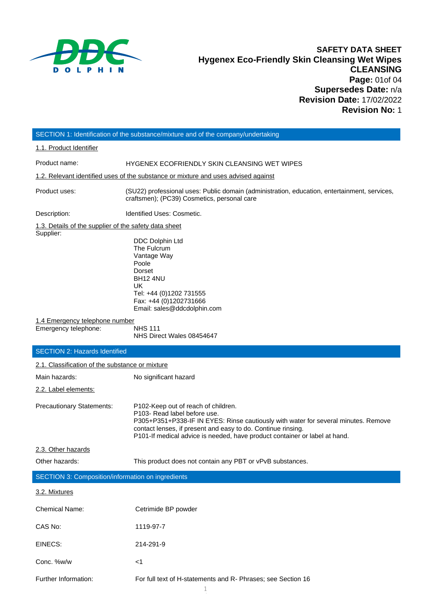

# **SAFETY DATA SHEET Hygenex Eco-Friendly Skin Cleansing Wet Wipes CLEANSING Page:** 01of 04 **Supersedes Date:** n/a **Revision Date:** 17/02/2022 **Revision No:** 1

# SECTION 1: Identification of the substance/mixture and of the company/undertaking

1.1. Product Identifier

Product name: HYGENEX ECOFRIENDLY SKIN CLEANSING WET WIPES

1.2. Relevant identified uses of the substance or mixture and uses advised against

Product uses: (SU22) professional uses: Public domain (administration, education, entertainment, services, craftsmen); (PC39) Cosmetics, personal care

Description: **IDENTIFIED IDENTIFIED IDENTIFIED IDENTIFIED IDENTIFIED IDENTIFIED IDENTIFIED IDENTIFIED IDENTIFIED I** 

1.3. Details of the supplier of the safety data sheet Supplier:

DDC Dolphin Ltd The Fulcrum Vantage Way Poole Dorset BH12 4NU UK Tel: +44 (0)1202 731555 Fax: +44 (0)120273166[6](mailto:sales@cleenol.co.uk) Email: sales@ddcdolphin.com

1.4 Emergency telephone number

Emergency telephone: NHS 111 NHS Direct Wales 08454647

# SECTION 2: Hazards Identified

| 2.1. Classification of the substance or mixture   |                                                                                                                                                                                                                                                                                                                      |  |  |  |  |
|---------------------------------------------------|----------------------------------------------------------------------------------------------------------------------------------------------------------------------------------------------------------------------------------------------------------------------------------------------------------------------|--|--|--|--|
| Main hazards:                                     | No significant hazard                                                                                                                                                                                                                                                                                                |  |  |  |  |
| 2.2. Label elements:                              |                                                                                                                                                                                                                                                                                                                      |  |  |  |  |
| <b>Precautionary Statements:</b>                  | P102-Keep out of reach of children.<br>P <sub>103</sub> - Read label before use.<br>P305+P351+P338-IF IN EYES: Rinse cautiously with water for several minutes. Remove<br>contact lenses, if present and easy to do. Continue rinsing.<br>P101-If medical advice is needed, have product container or label at hand. |  |  |  |  |
| 2.3. Other hazards                                |                                                                                                                                                                                                                                                                                                                      |  |  |  |  |
| Other hazards:                                    | This product does not contain any PBT or vPvB substances.                                                                                                                                                                                                                                                            |  |  |  |  |
| SECTION 3: Composition/information on ingredients |                                                                                                                                                                                                                                                                                                                      |  |  |  |  |
| 3.2. Mixtures                                     |                                                                                                                                                                                                                                                                                                                      |  |  |  |  |
| <b>Chemical Name:</b>                             | Cetrimide BP powder                                                                                                                                                                                                                                                                                                  |  |  |  |  |
| CAS No:                                           | 1119-97-7                                                                                                                                                                                                                                                                                                            |  |  |  |  |
| EINECS:                                           | 214-291-9                                                                                                                                                                                                                                                                                                            |  |  |  |  |
| Conc. %w/w                                        | <1                                                                                                                                                                                                                                                                                                                   |  |  |  |  |

Further Information: For full text of H-statements and R- Phrases; see Section 16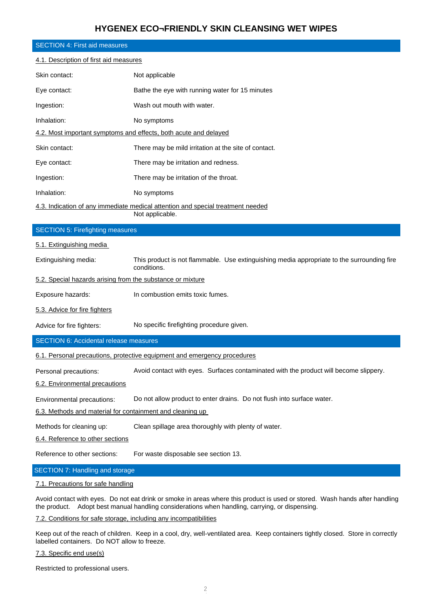# **HYGENEX ECO¬FRIENDLY SKIN CLEANSING WET WIPES**

| <b>SECTION 4: First aid measures</b>                                                               |                                                                                                           |  |  |  |  |  |  |
|----------------------------------------------------------------------------------------------------|-----------------------------------------------------------------------------------------------------------|--|--|--|--|--|--|
| 4.1. Description of first aid measures                                                             |                                                                                                           |  |  |  |  |  |  |
| Skin contact:                                                                                      | Not applicable                                                                                            |  |  |  |  |  |  |
| Eye contact:                                                                                       | Bathe the eye with running water for 15 minutes                                                           |  |  |  |  |  |  |
| Ingestion:                                                                                         | Wash out mouth with water.                                                                                |  |  |  |  |  |  |
| Inhalation:                                                                                        | No symptoms                                                                                               |  |  |  |  |  |  |
| 4.2. Most important symptoms and effects, both acute and delayed                                   |                                                                                                           |  |  |  |  |  |  |
| Skin contact:                                                                                      | There may be mild irritation at the site of contact.                                                      |  |  |  |  |  |  |
| Eye contact:                                                                                       | There may be irritation and redness.                                                                      |  |  |  |  |  |  |
| Ingestion:                                                                                         | There may be irritation of the throat.                                                                    |  |  |  |  |  |  |
| Inhalation:                                                                                        | No symptoms                                                                                               |  |  |  |  |  |  |
| 4.3. Indication of any immediate medical attention and special treatment needed<br>Not applicable. |                                                                                                           |  |  |  |  |  |  |
| <b>SECTION 5: Firefighting measures</b>                                                            |                                                                                                           |  |  |  |  |  |  |
| 5.1. Extinguishing media                                                                           |                                                                                                           |  |  |  |  |  |  |
| Extinguishing media:                                                                               | This product is not flammable. Use extinguishing media appropriate to the surrounding fire<br>conditions. |  |  |  |  |  |  |
| 5.2. Special hazards arising from the substance or mixture                                         |                                                                                                           |  |  |  |  |  |  |
| Exposure hazards:                                                                                  | In combustion emits toxic fumes.                                                                          |  |  |  |  |  |  |
| 5.3. Advice for fire fighters                                                                      |                                                                                                           |  |  |  |  |  |  |
| Advice for fire fighters:                                                                          | No specific firefighting procedure given.                                                                 |  |  |  |  |  |  |
| <b>SECTION 6: Accidental release measures</b>                                                      |                                                                                                           |  |  |  |  |  |  |
|                                                                                                    | <u>6.1. Personal precautions, protective equipment and emergency procedures</u>                           |  |  |  |  |  |  |
| Personal precautions:                                                                              | Avoid contact with eyes. Surfaces contaminated with the product will become slippery.                     |  |  |  |  |  |  |
| 6.2. Environmental precautions                                                                     |                                                                                                           |  |  |  |  |  |  |
| Environmental precautions:                                                                         | Do not allow product to enter drains. Do not flush into surface water.                                    |  |  |  |  |  |  |
| 6.3. Methods and material for containment and cleaning up                                          |                                                                                                           |  |  |  |  |  |  |
| Methods for cleaning up:                                                                           | Clean spillage area thoroughly with plenty of water.                                                      |  |  |  |  |  |  |
| 6.4. Reference to other sections                                                                   |                                                                                                           |  |  |  |  |  |  |
| Reference to other sections:                                                                       | For waste disposable see section 13.                                                                      |  |  |  |  |  |  |
| <b>SECTION 7: Handling and storage</b>                                                             |                                                                                                           |  |  |  |  |  |  |

### 7.1. Precautions for safe handling

Avoid contact with eyes. Do not eat drink or smoke in areas where this product is used or stored. Wash hands after handling the product. Adopt best manual handling considerations when handling, carrying, or dispensing.

### 7.2. Conditions for safe storage, including any incompatibilities

Keep out of the reach of children. Keep in a cool, dry, well-ventilated area. Keep containers tightly closed. Store in correctly labelled containers. Do NOT allow to freeze.

### 7.3. Specific end use(s)

Restricted to professional users.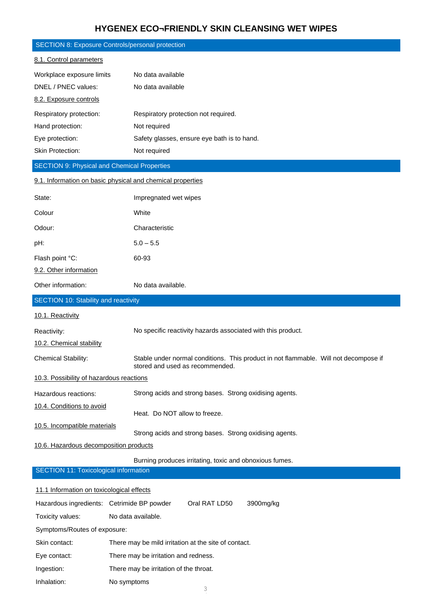# **HYGENEX ECO¬FRIENDLY SKIN CLEANSING WET WIPES**

|                                                      | <b>SECTION 8: Exposure Controls/personal protection</b>                                                                 |  |  |  |  |  |  |
|------------------------------------------------------|-------------------------------------------------------------------------------------------------------------------------|--|--|--|--|--|--|
| 8.1. Control parameters                              |                                                                                                                         |  |  |  |  |  |  |
| Workplace exposure limits                            | No data available                                                                                                       |  |  |  |  |  |  |
| DNEL / PNEC values:                                  | No data available                                                                                                       |  |  |  |  |  |  |
| 8.2. Exposure controls                               |                                                                                                                         |  |  |  |  |  |  |
| Respiratory protection:                              | Respiratory protection not required.                                                                                    |  |  |  |  |  |  |
| Hand protection:                                     | Not required                                                                                                            |  |  |  |  |  |  |
| Eye protection:                                      | Safety glasses, ensure eye bath is to hand.                                                                             |  |  |  |  |  |  |
| Skin Protection:                                     | Not required                                                                                                            |  |  |  |  |  |  |
| <b>SECTION 9: Physical and Chemical Properties</b>   |                                                                                                                         |  |  |  |  |  |  |
|                                                      | 9.1. Information on basic physical and chemical properties                                                              |  |  |  |  |  |  |
| State:                                               | Impregnated wet wipes                                                                                                   |  |  |  |  |  |  |
| Colour                                               | White                                                                                                                   |  |  |  |  |  |  |
| Odour:                                               | Characteristic                                                                                                          |  |  |  |  |  |  |
| pH:                                                  | $5.0 - 5.5$                                                                                                             |  |  |  |  |  |  |
| Flash point °C:                                      | 60-93                                                                                                                   |  |  |  |  |  |  |
| 9.2. Other information                               |                                                                                                                         |  |  |  |  |  |  |
| Other information:                                   | No data available.                                                                                                      |  |  |  |  |  |  |
| <b>SECTION 10: Stability and reactivity</b>          |                                                                                                                         |  |  |  |  |  |  |
| 10.1. Reactivity                                     |                                                                                                                         |  |  |  |  |  |  |
| Reactivity:                                          | No specific reactivity hazards associated with this product.                                                            |  |  |  |  |  |  |
| 10.2. Chemical stability                             |                                                                                                                         |  |  |  |  |  |  |
| <b>Chemical Stability:</b>                           | Stable under normal conditions. This product in not flammable. Will not decompose if<br>stored and used as recommended. |  |  |  |  |  |  |
| 10.3. Possibility of hazardous reactions             |                                                                                                                         |  |  |  |  |  |  |
| Hazardous reactions:                                 | Strong acids and strong bases. Strong oxidising agents.                                                                 |  |  |  |  |  |  |
| 10.4. Conditions to avoid                            | Heat. Do NOT allow to freeze.                                                                                           |  |  |  |  |  |  |
| 10.5. Incompatible materials                         |                                                                                                                         |  |  |  |  |  |  |
| 10.6. Hazardous decomposition products               | Strong acids and strong bases. Strong oxidising agents.                                                                 |  |  |  |  |  |  |
|                                                      | Burning produces irritating, toxic and obnoxious fumes.                                                                 |  |  |  |  |  |  |
| <b>SECTION 11: Toxicological information</b>         |                                                                                                                         |  |  |  |  |  |  |
| 11.1 Information on toxicological effects            |                                                                                                                         |  |  |  |  |  |  |
| Hazardous ingredients: Cetrimide BP powder           | Oral RAT LD50<br>3900mg/kg                                                                                              |  |  |  |  |  |  |
| Toxicity values:                                     | No data available.                                                                                                      |  |  |  |  |  |  |
| Symptoms/Routes of exposure:                         |                                                                                                                         |  |  |  |  |  |  |
| Skin contact:                                        | There may be mild irritation at the site of contact.                                                                    |  |  |  |  |  |  |
| Eye contact:                                         | There may be irritation and redness.                                                                                    |  |  |  |  |  |  |
| There may be irritation of the throat.<br>Ingestion: |                                                                                                                         |  |  |  |  |  |  |
| Inhalation:                                          | No symptoms                                                                                                             |  |  |  |  |  |  |